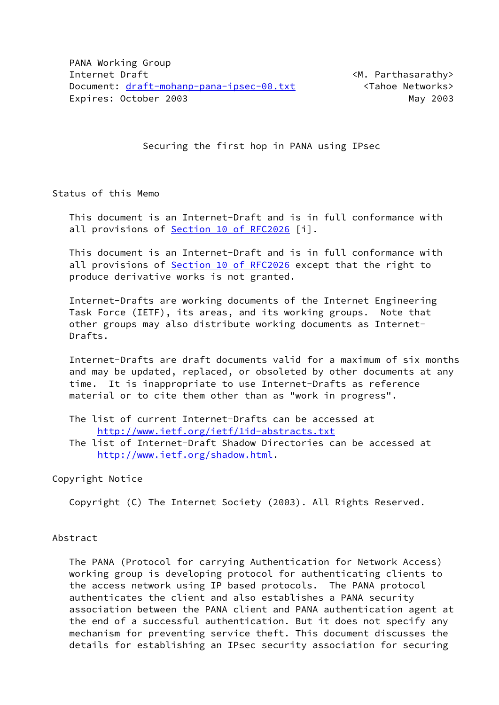Securing the first hop in PANA using IPsec

Status of this Memo

 This document is an Internet-Draft and is in full conformance with all provisions of Section [10 of RFC2026](https://datatracker.ietf.org/doc/pdf/rfc2026#section-10) [i].

 This document is an Internet-Draft and is in full conformance with all provisions of Section [10 of RFC2026](https://datatracker.ietf.org/doc/pdf/rfc2026#section-10) except that the right to produce derivative works is not granted.

 Internet-Drafts are working documents of the Internet Engineering Task Force (IETF), its areas, and its working groups. Note that other groups may also distribute working documents as Internet- Drafts.

 Internet-Drafts are draft documents valid for a maximum of six months and may be updated, replaced, or obsoleted by other documents at any time. It is inappropriate to use Internet-Drafts as reference material or to cite them other than as "work in progress".

- The list of current Internet-Drafts can be accessed at <http://www.ietf.org/ietf/1id-abstracts.txt>
- The list of Internet-Draft Shadow Directories can be accessed at <http://www.ietf.org/shadow.html>.

Copyright Notice

Copyright (C) The Internet Society (2003). All Rights Reserved.

### Abstract

 The PANA (Protocol for carrying Authentication for Network Access) working group is developing protocol for authenticating clients to the access network using IP based protocols. The PANA protocol authenticates the client and also establishes a PANA security association between the PANA client and PANA authentication agent at the end of a successful authentication. But it does not specify any mechanism for preventing service theft. This document discusses the details for establishing an IPsec security association for securing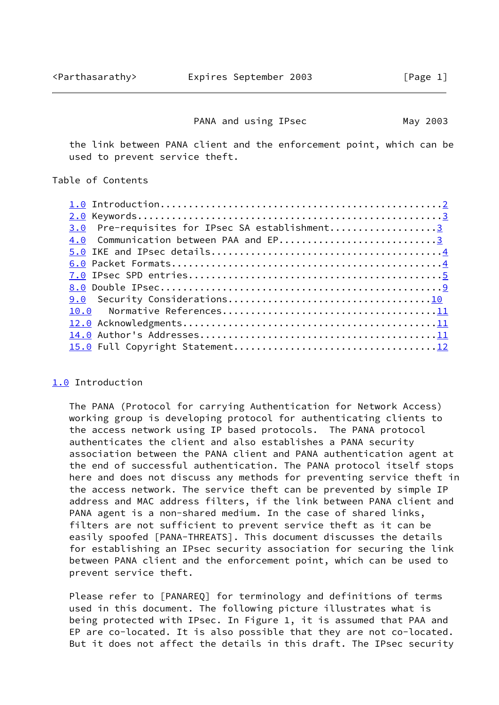#### PANA and using IPsec May 2003

<span id="page-1-1"></span> the link between PANA client and the enforcement point, which can be used to prevent service theft.

### Table of Contents

| Pre-requisites for IPsec SA establishment3<br>3.0 |  |
|---------------------------------------------------|--|
| 4.0 Communication between PAA and EP3             |  |
|                                                   |  |
|                                                   |  |
|                                                   |  |
|                                                   |  |
|                                                   |  |
|                                                   |  |
|                                                   |  |
|                                                   |  |
|                                                   |  |

### <span id="page-1-0"></span>[1.0](#page-1-0) Introduction

 The PANA (Protocol for carrying Authentication for Network Access) working group is developing protocol for authenticating clients to the access network using IP based protocols. The PANA protocol authenticates the client and also establishes a PANA security association between the PANA client and PANA authentication agent at the end of successful authentication. The PANA protocol itself stops here and does not discuss any methods for preventing service theft in the access network. The service theft can be prevented by simple IP address and MAC address filters, if the link between PANA client and PANA agent is a non-shared medium. In the case of shared links, filters are not sufficient to prevent service theft as it can be easily spoofed [PANA-THREATS]. This document discusses the details for establishing an IPsec security association for securing the link between PANA client and the enforcement point, which can be used to prevent service theft.

 Please refer to [PANAREQ] for terminology and definitions of terms used in this document. The following picture illustrates what is being protected with IPsec. In Figure 1, it is assumed that PAA and EP are co-located. It is also possible that they are not co-located. But it does not affect the details in this draft. The IPsec security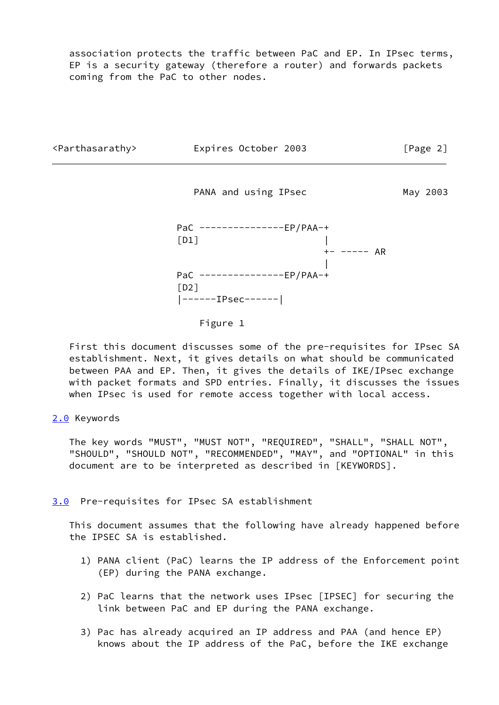association protects the traffic between PaC and EP. In IPsec terms, EP is a security gateway (therefore a router) and forwards packets coming from the PaC to other nodes.

<span id="page-2-1"></span>

 First this document discusses some of the pre-requisites for IPsec SA establishment. Next, it gives details on what should be communicated between PAA and EP. Then, it gives the details of IKE/IPsec exchange with packet formats and SPD entries. Finally, it discusses the issues when IPsec is used for remote access together with local access.

## <span id="page-2-0"></span>[2.0](#page-2-0) Keywords

 The key words "MUST", "MUST NOT", "REQUIRED", "SHALL", "SHALL NOT", "SHOULD", "SHOULD NOT", "RECOMMENDED", "MAY", and "OPTIONAL" in this document are to be interpreted as described in [KEYWORDS].

### <span id="page-2-2"></span>[3.0](#page-2-2) Pre-requisites for IPsec SA establishment

 This document assumes that the following have already happened before the IPSEC SA is established.

- 1) PANA client (PaC) learns the IP address of the Enforcement point (EP) during the PANA exchange.
- 2) PaC learns that the network uses IPsec [IPSEC] for securing the link between PaC and EP during the PANA exchange.
- 3) Pac has already acquired an IP address and PAA (and hence EP) knows about the IP address of the PaC, before the IKE exchange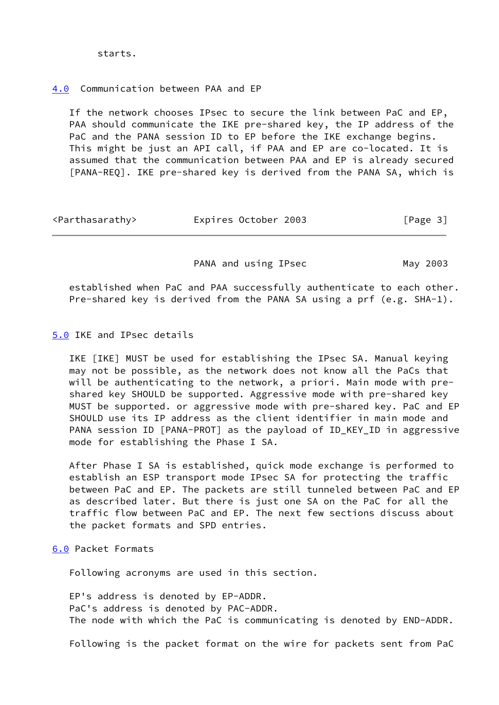# <span id="page-3-0"></span>[4.0](#page-3-0) Communication between PAA and EP

 If the network chooses IPsec to secure the link between PaC and EP, PAA should communicate the IKE pre-shared key, the IP address of the PaC and the PANA session ID to EP before the IKE exchange begins. This might be just an API call, if PAA and EP are co-located. It is assumed that the communication between PAA and EP is already secured [PANA-REQ]. IKE pre-shared key is derived from the PANA SA, which is

<span id="page-3-2"></span>

| <parthasarathy></parthasarathy> | Expires October 2003 | [Page 3] |
|---------------------------------|----------------------|----------|
|---------------------------------|----------------------|----------|

PANA and using IPsec May 2003

 established when PaC and PAA successfully authenticate to each other. Pre-shared key is derived from the PANA SA using a prf (e.g. SHA-1).

<span id="page-3-1"></span>[5.0](#page-3-1) IKE and IPsec details

 IKE [IKE] MUST be used for establishing the IPsec SA. Manual keying may not be possible, as the network does not know all the PaCs that will be authenticating to the network, a priori. Main mode with pre shared key SHOULD be supported. Aggressive mode with pre-shared key MUST be supported. or aggressive mode with pre-shared key. PaC and EP SHOULD use its IP address as the client identifier in main mode and PANA session ID [PANA-PROT] as the payload of ID\_KEY\_ID in aggressive mode for establishing the Phase I SA.

 After Phase I SA is established, quick mode exchange is performed to establish an ESP transport mode IPsec SA for protecting the traffic between PaC and EP. The packets are still tunneled between PaC and EP as described later. But there is just one SA on the PaC for all the traffic flow between PaC and EP. The next few sections discuss about the packet formats and SPD entries.

## <span id="page-3-3"></span>[6.0](#page-3-3) Packet Formats

Following acronyms are used in this section.

 EP's address is denoted by EP-ADDR. PaC's address is denoted by PAC-ADDR. The node with which the PaC is communicating is denoted by END-ADDR.

Following is the packet format on the wire for packets sent from PaC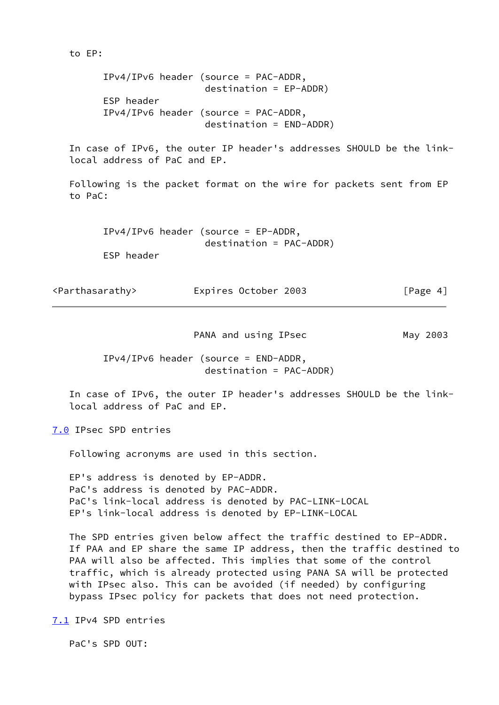IPv4/IPv6 header (source = PAC-ADDR, destination = EP-ADDR) ESP header IPv4/IPv6 header (source = PAC-ADDR, destination = END-ADDR) In case of IPv6, the outer IP header's addresses SHOULD be the link local address of PaC and EP. Following is the packet format on the wire for packets sent from EP to PaC: IPv4/IPv6 header (source = EP-ADDR, destination = PAC-ADDR) ESP header <Parthasarathy> Expires October 2003 [Page 4]

PANA and using IPsec May 2003

<span id="page-4-1"></span> IPv4/IPv6 header (source = END-ADDR, destination = PAC-ADDR)

 In case of IPv6, the outer IP header's addresses SHOULD be the link local address of PaC and EP.

<span id="page-4-0"></span>[7.0](#page-4-0) IPsec SPD entries

to EP:

Following acronyms are used in this section.

 EP's address is denoted by EP-ADDR. PaC's address is denoted by PAC-ADDR. PaC's link-local address is denoted by PAC-LINK-LOCAL EP's link-local address is denoted by EP-LINK-LOCAL

 The SPD entries given below affect the traffic destined to EP-ADDR. If PAA and EP share the same IP address, then the traffic destined to PAA will also be affected. This implies that some of the control traffic, which is already protected using PANA SA will be protected with IPsec also. This can be avoided (if needed) by configuring bypass IPsec policy for packets that does not need protection.

<span id="page-4-2"></span>[7.1](#page-4-2) IPv4 SPD entries

PaC's SPD OUT: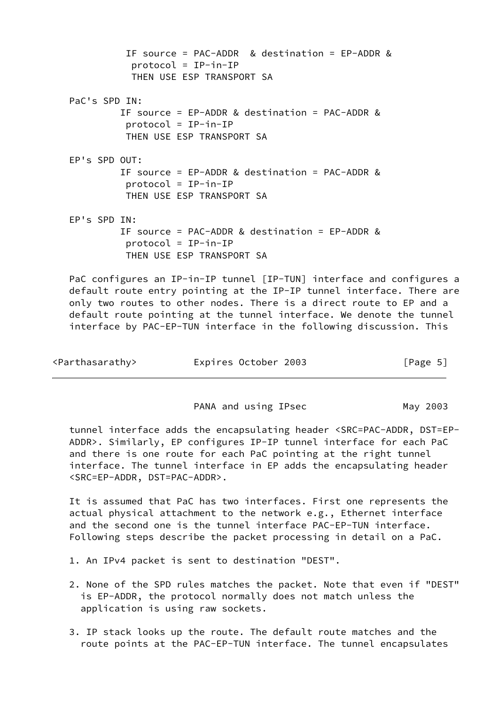| IF source = PAC-ADDR & destination = EP-ADDR &<br>$protocol = IP-in-IP$<br>THEN USE ESP TRANSPORT SA                    |
|-------------------------------------------------------------------------------------------------------------------------|
| PaC's SPD IN:<br>IF source = $EP-ADDR & destination = PAC-ADDR &$<br>$protocol = IP-in-IP$<br>THEN USE ESP TRANSPORT SA |
| EP's SPD OUT:<br>IF source = $EP-ADDR & destination = PAC-ADDR &$<br>$protocol = IP-in-IP$<br>THEN USE ESP TRANSPORT SA |
| EP's SPD IN:<br>IF source = PAC-ADDR & destination = $EP-ADDR$ &<br>$protocol = IP-in-IP$<br>THEN USE ESP TRANSPORT SA  |
| PaC configures an IP-in-IP tunnel [IP-TUN] interface and co                                                             |

pafigures an default route entry pointing at the IP-IP tunnel interface. There are only two routes to other nodes. There is a direct route to EP and a default route pointing at the tunnel interface. We denote the tunnel interface by PAC-EP-TUN interface in the following discussion. This

| <parthasarathy></parthasarathy> | Expires October 2003 | [Page 5] |
|---------------------------------|----------------------|----------|
|---------------------------------|----------------------|----------|

PANA and using IPsec May 2003

 tunnel interface adds the encapsulating header <SRC=PAC-ADDR, DST=EP- ADDR>. Similarly, EP configures IP-IP tunnel interface for each PaC and there is one route for each PaC pointing at the right tunnel interface. The tunnel interface in EP adds the encapsulating header <SRC=EP-ADDR, DST=PAC-ADDR>.

 It is assumed that PaC has two interfaces. First one represents the actual physical attachment to the network e.g., Ethernet interface and the second one is the tunnel interface PAC-EP-TUN interface. Following steps describe the packet processing in detail on a PaC.

- 1. An IPv4 packet is sent to destination "DEST".
- 2. None of the SPD rules matches the packet. Note that even if "DEST" is EP-ADDR, the protocol normally does not match unless the application is using raw sockets.
- 3. IP stack looks up the route. The default route matches and the route points at the PAC-EP-TUN interface. The tunnel encapsulates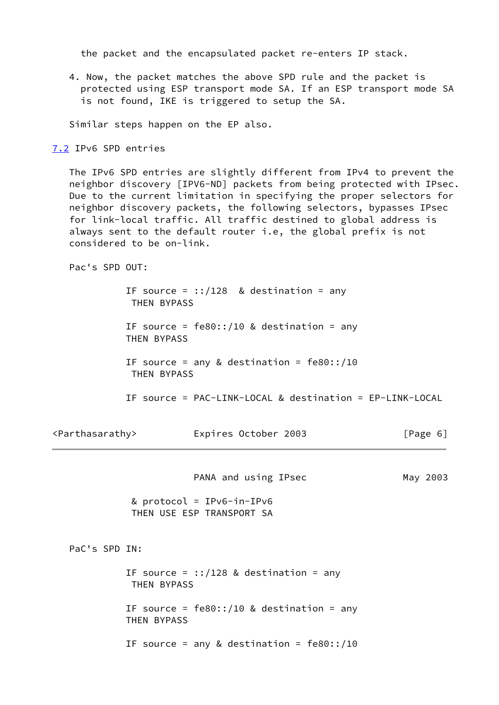the packet and the encapsulated packet re-enters IP stack.

 4. Now, the packet matches the above SPD rule and the packet is protected using ESP transport mode SA. If an ESP transport mode SA is not found, IKE is triggered to setup the SA.

Similar steps happen on the EP also.

<span id="page-6-0"></span>[7.2](#page-6-0) IPv6 SPD entries

 The IPv6 SPD entries are slightly different from IPv4 to prevent the neighbor discovery [IPV6-ND] packets from being protected with IPsec. Due to the current limitation in specifying the proper selectors for neighbor discovery packets, the following selectors, bypasses IPsec for link-local traffic. All traffic destined to global address is always sent to the default router i.e, the global prefix is not considered to be on-link.

Pac's SPD OUT:

|                                 | THEN BYPASS | IF source = $::/128$ & destination = any                 |          |  |
|---------------------------------|-------------|----------------------------------------------------------|----------|--|
|                                 | THEN BYPASS | IF source = $fe80::/10$ & destination = any              |          |  |
|                                 | THEN BYPASS | IF source = any & destination = $fe80::/10$              |          |  |
|                                 |             | IF source = PAC-LINK-LOCAL & destination = EP-LINK-LOCAL |          |  |
| <parthasarathy></parthasarathy> |             | Expires October 2003                                     | [Page 6] |  |
|                                 |             | PANA and using IPsec                                     | May 2003 |  |
|                                 |             | & protocol = $IPv6-in-IPv6$<br>THEN USE ESP TRANSPORT SA |          |  |
| PaC's SPD IN:                   |             |                                                          |          |  |
|                                 | THEN BYPASS | IF source = $::/128$ & destination = any                 |          |  |
|                                 | THEN BYPASS | IF source = $fe80::/10$ & destination = any              |          |  |
|                                 |             | IF source = any & destination = $fe80::/10$              |          |  |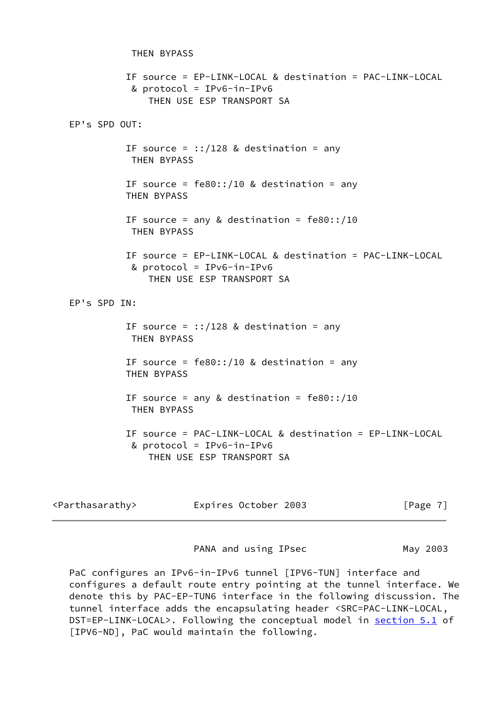THEN BYPASS IF source = EP-LINK-LOCAL & destination = PAC-LINK-LOCAL & protocol = IPv6-in-IPv6 THEN USE ESP TRANSPORT SA EP's SPD OUT: IF source =  $::/128$  & destination = any THEN BYPASS IF source =  $fe80::/10$  & destination = any THEN BYPASS IF source = any & destination =  $fe80::/10$  THEN BYPASS IF source = EP-LINK-LOCAL & destination = PAC-LINK-LOCAL & protocol = IPv6-in-IPv6 THEN USE ESP TRANSPORT SA EP's SPD IN: IF source =  $::/128$  & destination = any THEN BYPASS IF source =  $fe80::/10$  & destination = any THEN BYPASS IF source = any & destination =  $fe80::/10$  THEN BYPASS IF source = PAC-LINK-LOCAL & destination = EP-LINK-LOCAL & protocol = IPv6-in-IPv6 THEN USE ESP TRANSPORT SA

| <parthasarathy></parthasarathy> | Expires October 2003 | [Page 7] |
|---------------------------------|----------------------|----------|
|---------------------------------|----------------------|----------|

PANA and using IPsec May 2003

PaC configures an IPv6-in-IPv6 tunnel [IPV6-TUN] interface and configures a default route entry pointing at the tunnel interface. We denote this by PAC-EP-TUN6 interface in the following discussion. The tunnel interface adds the encapsulating header <SRC=PAC-LINK-LOCAL, DST=EP-LINK-LOCAL>. Following the conceptual model in section 5.1 of [IPV6-ND], PaC would maintain the following.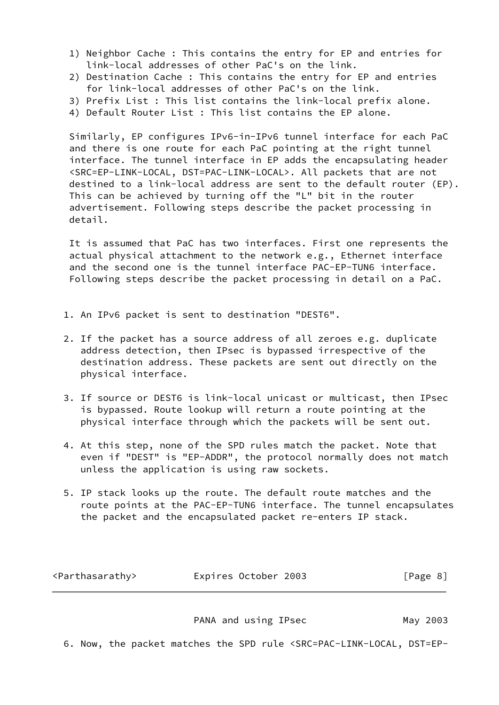- 1) Neighbor Cache : This contains the entry for EP and entries for link-local addresses of other PaC's on the link.
- 2) Destination Cache : This contains the entry for EP and entries for link-local addresses of other PaC's on the link.
- 3) Prefix List : This list contains the link-local prefix alone.
- 4) Default Router List : This list contains the EP alone.

 Similarly, EP configures IPv6-in-IPv6 tunnel interface for each PaC and there is one route for each PaC pointing at the right tunnel interface. The tunnel interface in EP adds the encapsulating header <SRC=EP-LINK-LOCAL, DST=PAC-LINK-LOCAL>. All packets that are not destined to a link-local address are sent to the default router (EP). This can be achieved by turning off the "L" bit in the router advertisement. Following steps describe the packet processing in detail.

 It is assumed that PaC has two interfaces. First one represents the actual physical attachment to the network e.g., Ethernet interface and the second one is the tunnel interface PAC-EP-TUN6 interface. Following steps describe the packet processing in detail on a PaC.

- 1. An IPv6 packet is sent to destination "DEST6".
- 2. If the packet has a source address of all zeroes e.g. duplicate address detection, then IPsec is bypassed irrespective of the destination address. These packets are sent out directly on the physical interface.
- 3. If source or DEST6 is link-local unicast or multicast, then IPsec is bypassed. Route lookup will return a route pointing at the physical interface through which the packets will be sent out.
- 4. At this step, none of the SPD rules match the packet. Note that even if "DEST" is "EP-ADDR", the protocol normally does not match unless the application is using raw sockets.
- 5. IP stack looks up the route. The default route matches and the route points at the PAC-EP-TUN6 interface. The tunnel encapsulates the packet and the encapsulated packet re-enters IP stack.

<span id="page-8-0"></span>

| <parthasarathy></parthasarathy> | Expires October 2003 | [Page 8] |
|---------------------------------|----------------------|----------|
|---------------------------------|----------------------|----------|

PANA and using IPsec May 2003

6. Now, the packet matches the SPD rule <SRC=PAC-LINK-LOCAL, DST=EP-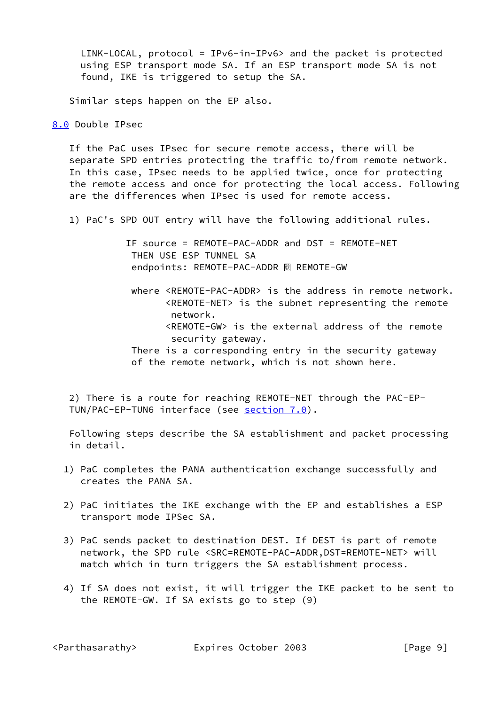LINK-LOCAL, protocol = IPv6-in-IPv6> and the packet is protected using ESP transport mode SA. If an ESP transport mode SA is not found, IKE is triggered to setup the SA.

Similar steps happen on the EP also.

### <span id="page-9-0"></span>[8.0](#page-9-0) Double IPsec

 If the PaC uses IPsec for secure remote access, there will be separate SPD entries protecting the traffic to/from remote network. In this case, IPsec needs to be applied twice, once for protecting the remote access and once for protecting the local access. Following are the differences when IPsec is used for remote access.

1) PaC's SPD OUT entry will have the following additional rules.

 IF source = REMOTE-PAC-ADDR and DST = REMOTE-NET THEN USE ESP TUNNEL SA endpoints: REMOTE-PAC-ADDR <sup>88</sup> REMOTE-GW

 where <REMOTE-PAC-ADDR> is the address in remote network. <REMOTE-NET> is the subnet representing the remote network. <REMOTE-GW> is the external address of the remote security gateway.

 There is a corresponding entry in the security gateway of the remote network, which is not shown here.

 2) There is a route for reaching REMOTE-NET through the PAC-EP TUN/PAC-EP-TUN6 interface (see [section 7.0](#page-4-0)).

 Following steps describe the SA establishment and packet processing in detail.

- 1) PaC completes the PANA authentication exchange successfully and creates the PANA SA.
- 2) PaC initiates the IKE exchange with the EP and establishes a ESP transport mode IPSec SA.
- 3) PaC sends packet to destination DEST. If DEST is part of remote network, the SPD rule <SRC=REMOTE-PAC-ADDR,DST=REMOTE-NET> will match which in turn triggers the SA establishment process.
- 4) If SA does not exist, it will trigger the IKE packet to be sent to the REMOTE-GW. If SA exists go to step (9)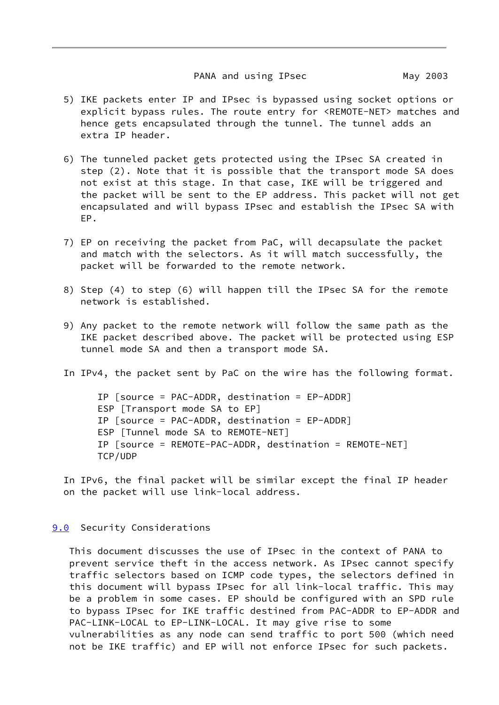### PANA and using IPsec May 2003

- <span id="page-10-1"></span> 5) IKE packets enter IP and IPsec is bypassed using socket options or explicit bypass rules. The route entry for <REMOTE-NET> matches and hence gets encapsulated through the tunnel. The tunnel adds an extra IP header.
- 6) The tunneled packet gets protected using the IPsec SA created in step (2). Note that it is possible that the transport mode SA does not exist at this stage. In that case, IKE will be triggered and the packet will be sent to the EP address. This packet will not get encapsulated and will bypass IPsec and establish the IPsec SA with EP.
- 7) EP on receiving the packet from PaC, will decapsulate the packet and match with the selectors. As it will match successfully, the packet will be forwarded to the remote network.
- 8) Step (4) to step (6) will happen till the IPsec SA for the remote network is established.
- 9) Any packet to the remote network will follow the same path as the IKE packet described above. The packet will be protected using ESP tunnel mode SA and then a transport mode SA.
- In IPv4, the packet sent by PaC on the wire has the following format.

 IP [source = PAC-ADDR, destination = EP-ADDR] ESP [Transport mode SA to EP] IP [source = PAC-ADDR, destination = EP-ADDR] ESP [Tunnel mode SA to REMOTE-NET] IP [source = REMOTE-PAC-ADDR, destination = REMOTE-NET] TCP/UDP

 In IPv6, the final packet will be similar except the final IP header on the packet will use link-local address.

### <span id="page-10-0"></span>[9.0](#page-10-0) Security Considerations

 This document discusses the use of IPsec in the context of PANA to prevent service theft in the access network. As IPsec cannot specify traffic selectors based on ICMP code types, the selectors defined in this document will bypass IPsec for all link-local traffic. This may be a problem in some cases. EP should be configured with an SPD rule to bypass IPsec for IKE traffic destined from PAC-ADDR to EP-ADDR and PAC-LINK-LOCAL to EP-LINK-LOCAL. It may give rise to some vulnerabilities as any node can send traffic to port 500 (which need not be IKE traffic) and EP will not enforce IPsec for such packets.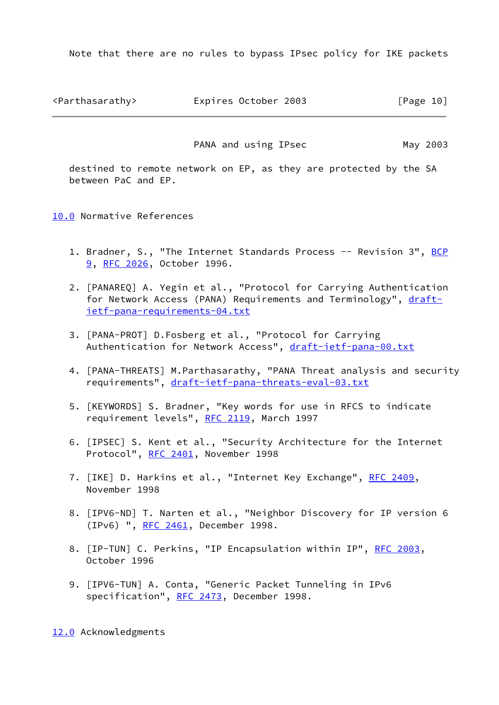Note that there are no rules to bypass IPsec policy for IKE packets

<span id="page-11-1"></span><Parthasarathy> Expires October 2003 [Page 10]

PANA and using IPsec May 2003

 destined to remote network on EP, as they are protected by the SA between PaC and EP.

<span id="page-11-0"></span>[10.0](#page-11-0) Normative References

- 1. Bradner, S., "The Internet Standards Process -- Revision 3", [BCP](https://datatracker.ietf.org/doc/pdf/bcp9) [9,](https://datatracker.ietf.org/doc/pdf/bcp9) [RFC 2026](https://datatracker.ietf.org/doc/pdf/rfc2026), October 1996.
- 2. [PANAREQ] A. Yegin et al., "Protocol for Carrying Authentication for Network Access (PANA) Requirements and Terminology", [draft](https://datatracker.ietf.org/doc/pdf/draft-ietf-pana-requirements-04.txt) [ietf-pana-requirements-04.txt](https://datatracker.ietf.org/doc/pdf/draft-ietf-pana-requirements-04.txt)
- 3. [PANA-PROT] D.Fosberg et al., "Protocol for Carrying Authentication for Network Access", [draft-ietf-pana-00.txt](https://datatracker.ietf.org/doc/pdf/draft-ietf-pana-00.txt)
- 4. [PANA-THREATS] M.Parthasarathy, "PANA Threat analysis and security requirements", [draft-ietf-pana-threats-eval-03.txt](https://datatracker.ietf.org/doc/pdf/draft-ietf-pana-threats-eval-03.txt)
- 5. [KEYWORDS] S. Bradner, "Key words for use in RFCS to indicate requirement levels", [RFC 2119](https://datatracker.ietf.org/doc/pdf/rfc2119), March 1997
- 6. [IPSEC] S. Kent et al., "Security Architecture for the Internet Protocol", [RFC 2401](https://datatracker.ietf.org/doc/pdf/rfc2401), November 1998
- 7. [IKE] D. Harkins et al., "Internet Key Exchange", [RFC 2409](https://datatracker.ietf.org/doc/pdf/rfc2409), November 1998
- 8. [IPV6-ND] T. Narten et al., "Neighbor Discovery for IP version 6 (IPv6) ", [RFC 2461](https://datatracker.ietf.org/doc/pdf/rfc2461), December 1998.
- 8. [IP-TUN] C. Perkins, "IP Encapsulation within IP", [RFC 2003](https://datatracker.ietf.org/doc/pdf/rfc2003), October 1996
- 9. [IPV6-TUN] A. Conta, "Generic Packet Tunneling in IPv6 specification", [RFC 2473,](https://datatracker.ietf.org/doc/pdf/rfc2473) December 1998.

<span id="page-11-2"></span>[12.0](#page-11-2) Acknowledgments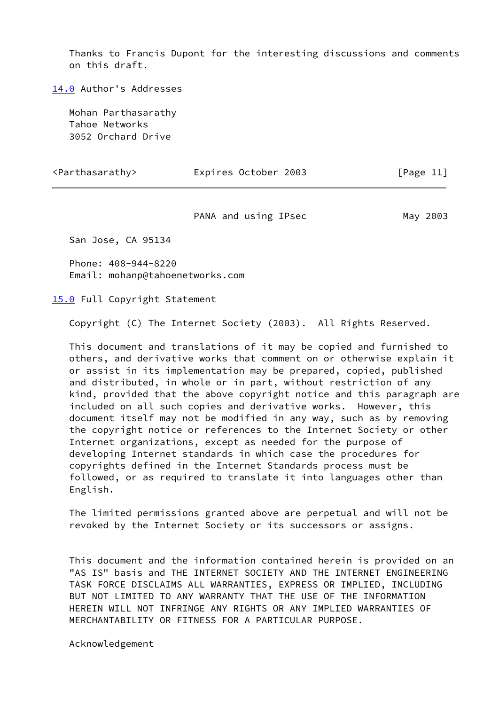Thanks to Francis Dupont for the interesting discussions and comments on this draft.

<span id="page-12-0"></span>[14.0](#page-12-0) Author's Addresses

 Mohan Parthasarathy Tahoe Networks 3052 Orchard Drive

<span id="page-12-2"></span>

| <parthasarathy></parthasarathy> | Expires October 2003 | [Page 11] |
|---------------------------------|----------------------|-----------|
|---------------------------------|----------------------|-----------|

PANA and using IPsec May 2003

San Jose, CA 95134

 Phone: 408-944-8220 Email: mohanp@tahoenetworks.com

<span id="page-12-1"></span>[15.0](#page-12-1) Full Copyright Statement

Copyright (C) The Internet Society (2003). All Rights Reserved.

 This document and translations of it may be copied and furnished to others, and derivative works that comment on or otherwise explain it or assist in its implementation may be prepared, copied, published and distributed, in whole or in part, without restriction of any kind, provided that the above copyright notice and this paragraph are included on all such copies and derivative works. However, this document itself may not be modified in any way, such as by removing the copyright notice or references to the Internet Society or other Internet organizations, except as needed for the purpose of developing Internet standards in which case the procedures for copyrights defined in the Internet Standards process must be followed, or as required to translate it into languages other than English.

 The limited permissions granted above are perpetual and will not be revoked by the Internet Society or its successors or assigns.

 This document and the information contained herein is provided on an "AS IS" basis and THE INTERNET SOCIETY AND THE INTERNET ENGINEERING TASK FORCE DISCLAIMS ALL WARRANTIES, EXPRESS OR IMPLIED, INCLUDING BUT NOT LIMITED TO ANY WARRANTY THAT THE USE OF THE INFORMATION HEREIN WILL NOT INFRINGE ANY RIGHTS OR ANY IMPLIED WARRANTIES OF MERCHANTABILITY OR FITNESS FOR A PARTICULAR PURPOSE.

Acknowledgement